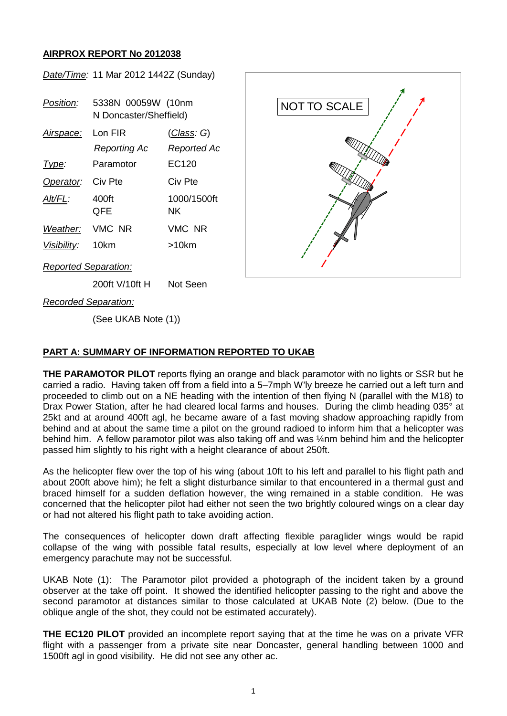## **AIRPROX REPORT No 2012038**

*Date/Time:* 11 Mar 2012 1442Z (Sunday) *Position:* 5338N 00059W (10nm N Doncaster/Sheffield) *Airspace:* Lon FIR (*Class: G*) *Reporting Ac Reported Ac Type:* Paramotor EC120 **Operator:** Civ Pte Civ Pte *Alt/FL:* 400ft 1000/1500ft QFE NK *Weather:* VMC NR VMC NR *Visibility:* 10km >10km *Reported Separation:* 200ft V/10ft H Not Seen NOT TO SCALE

*Recorded Separation:*

(See UKAB Note (1))

## **PART A: SUMMARY OF INFORMATION REPORTED TO UKAB**

**THE PARAMOTOR PILOT** reports flying an orange and black paramotor with no lights or SSR but he carried a radio. Having taken off from a field into a 5–7mph W'ly breeze he carried out a left turn and proceeded to climb out on a NE heading with the intention of then flying N (parallel with the M18) to Drax Power Station, after he had cleared local farms and houses. During the climb heading 035° at 25kt and at around 400ft agl, he became aware of a fast moving shadow approaching rapidly from behind and at about the same time a pilot on the ground radioed to inform him that a helicopter was behind him. A fellow paramotor pilot was also taking off and was ¼nm behind him and the helicopter passed him slightly to his right with a height clearance of about 250ft.

As the helicopter flew over the top of his wing (about 10ft to his left and parallel to his flight path and about 200ft above him); he felt a slight disturbance similar to that encountered in a thermal gust and braced himself for a sudden deflation however, the wing remained in a stable condition. He was concerned that the helicopter pilot had either not seen the two brightly coloured wings on a clear day or had not altered his flight path to take avoiding action.

The consequences of helicopter down draft affecting flexible paraglider wings would be rapid collapse of the wing with possible fatal results, especially at low level where deployment of an emergency parachute may not be successful.

UKAB Note (1): The Paramotor pilot provided a photograph of the incident taken by a ground observer at the take off point. It showed the identified helicopter passing to the right and above the second paramotor at distances similar to those calculated at UKAB Note (2) below. (Due to the oblique angle of the shot, they could not be estimated accurately).

**THE EC120 PILOT** provided an incomplete report saying that at the time he was on a private VFR flight with a passenger from a private site near Doncaster, general handling between 1000 and 1500ft agl in good visibility. He did not see any other ac.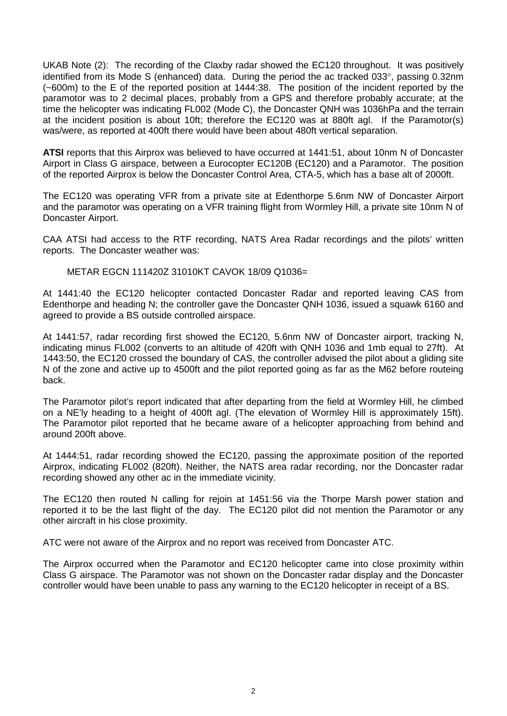UKAB Note (2): The recording of the Claxby radar showed the EC120 throughout. It was positively identified from its Mode S (enhanced) data. During the period the ac tracked 033°, passing 0.32nm (~600m) to the E of the reported position at 1444:38. The position of the incident reported by the paramotor was to 2 decimal places, probably from a GPS and therefore probably accurate; at the time the helicopter was indicating FL002 (Mode C), the Doncaster QNH was 1036hPa and the terrain at the incident position is about 10ft; therefore the EC120 was at 880ft agl. If the Paramotor(s) was/were, as reported at 400ft there would have been about 480ft vertical separation.

**ATSI** reports that this Airprox was believed to have occurred at 1441:51, about 10nm N of Doncaster Airport in Class G airspace, between a Eurocopter EC120B (EC120) and a Paramotor. The position of the reported Airprox is below the Doncaster Control Area, CTA-5, which has a base alt of 2000ft.

The EC120 was operating VFR from a private site at Edenthorpe 5.6nm NW of Doncaster Airport and the paramotor was operating on a VFR training flight from Wormley Hill, a private site 10nm N of Doncaster Airport.

CAA ATSI had access to the RTF recording, NATS Area Radar recordings and the pilots' written reports. The Doncaster weather was:

METAR EGCN 111420Z 31010KT CAVOK 18/09 Q1036=

At 1441:40 the EC120 helicopter contacted Doncaster Radar and reported leaving CAS from Edenthorpe and heading N; the controller gave the Doncaster QNH 1036, issued a squawk 6160 and agreed to provide a BS outside controlled airspace.

At 1441:57, radar recording first showed the EC120, 5.6nm NW of Doncaster airport, tracking N, indicating minus FL002 (converts to an altitude of 420ft with QNH 1036 and 1mb equal to 27ft). At 1443:50, the EC120 crossed the boundary of CAS, the controller advised the pilot about a gliding site N of the zone and active up to 4500ft and the pilot reported going as far as the M62 before routeing back.

The Paramotor pilot's report indicated that after departing from the field at Wormley Hill, he climbed on a NE'ly heading to a height of 400ft agl. (The elevation of Wormley Hill is approximately 15ft). The Paramotor pilot reported that he became aware of a helicopter approaching from behind and around 200ft above.

At 1444:51, radar recording showed the EC120, passing the approximate position of the reported Airprox, indicating FL002 (820ft). Neither, the NATS area radar recording, nor the Doncaster radar recording showed any other ac in the immediate vicinity.

The EC120 then routed N calling for rejoin at 1451:56 via the Thorpe Marsh power station and reported it to be the last flight of the day. The EC120 pilot did not mention the Paramotor or any other aircraft in his close proximity.

ATC were not aware of the Airprox and no report was received from Doncaster ATC.

The Airprox occurred when the Paramotor and EC120 helicopter came into close proximity within Class G airspace. The Paramotor was not shown on the Doncaster radar display and the Doncaster controller would have been unable to pass any warning to the EC120 helicopter in receipt of a BS.